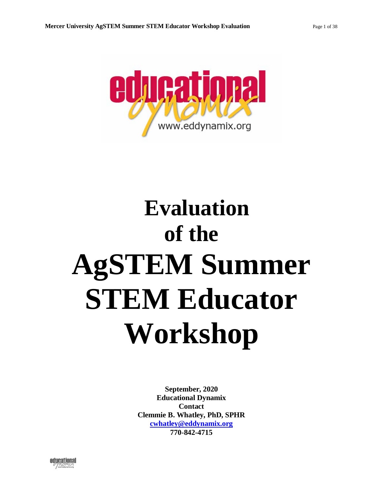

# **Evaluation of the AgSTEM Summer STEM Educator Workshop**

**September, 2020 Educational Dynamix Contact Clemmie B. Whatley, PhD, SPHR [cwhatley@eddynamix.org](mailto:cwhatley@eddynamix.org) 770-842-4715**

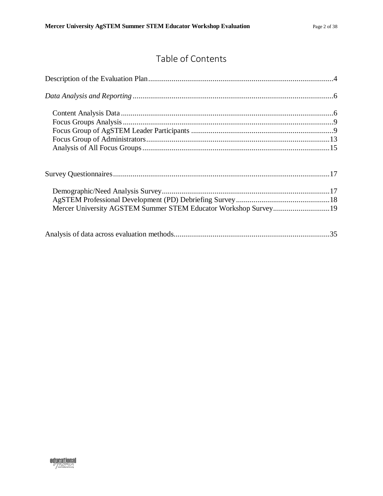# Table of Contents

| Mercer University AGSTEM Summer STEM Educator Workshop Survey19 |  |
|-----------------------------------------------------------------|--|
|                                                                 |  |

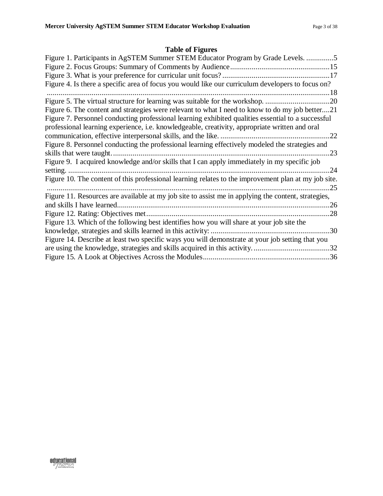# **Table of Figures**

| Figure 1. Participants in AgSTEM Summer STEM Educator Program by Grade Levels. 5                     |     |
|------------------------------------------------------------------------------------------------------|-----|
|                                                                                                      |     |
|                                                                                                      |     |
| Figure 4. Is there a specific area of focus you would like our curriculum developers to focus on?    |     |
|                                                                                                      |     |
|                                                                                                      |     |
| Figure 6. The content and strategies were relevant to what I need to know to do my job better21      |     |
| Figure 7. Personnel conducting professional learning exhibited qualities essential to a successful   |     |
| professional learning experience, i.e. knowledgeable, creativity, appropriate written and oral       |     |
|                                                                                                      |     |
| Figure 8. Personnel conducting the professional learning effectively modeled the strategies and      |     |
|                                                                                                      | .23 |
| Figure 9. I acquired knowledge and/or skills that I can apply immediately in my specific job         |     |
|                                                                                                      | .24 |
| Figure 10. The content of this professional learning relates to the improvement plan at my job site. |     |
|                                                                                                      | .25 |
| Figure 11. Resources are available at my job site to assist me in applying the content, strategies,  |     |
|                                                                                                      |     |
|                                                                                                      |     |
| Figure 13. Which of the following best identifies how you will share at your job site the            |     |
|                                                                                                      |     |
| Figure 14. Describe at least two specific ways you will demonstrate at your job setting that you     |     |
|                                                                                                      |     |
|                                                                                                      |     |

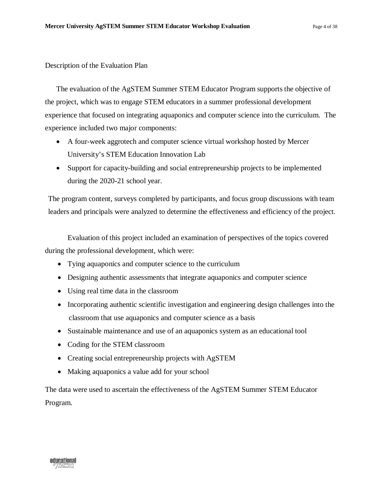#### <span id="page-3-0"></span>Description of the Evaluation Plan

The evaluation of the AgSTEM Summer STEM Educator Program supports the objective of the project, which was to engage STEM educators in a summer professional development experience that focused on integrating aquaponics and computer science into the curriculum. The experience included two major components:

- A four-week aggrotech and computer science virtual workshop hosted by Mercer University's STEM Education Innovation Lab
- Support for capacity-building and social entrepreneurship projects to be implemented during the 2020-21 school year.

The program content, surveys completed by participants, and focus group discussions with team leaders and principals were analyzed to determine the effectiveness and efficiency of the project.

Evaluation of this project included an examination of perspectives of the topics covered during the professional development, which were:

- Tying aquaponics and computer science to the curriculum
- Designing authentic assessments that integrate aquaponics and computer science
- Using real time data in the classroom
- Incorporating authentic scientific investigation and engineering design challenges into the classroom that use aquaponics and computer science as a basis
- Sustainable maintenance and use of an aquaponics system as an educational tool
- Coding for the STEM classroom
- Creating social entrepreneurship projects with AgSTEM
- Making aquaponics a value add for your school

The data were used to ascertain the effectiveness of the AgSTEM Summer STEM Educator Program.

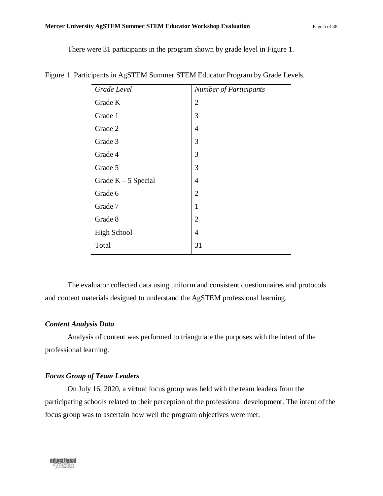#### **Mercer University AgSTEM Summer STEM Educator Workshop Evaluation** Page 5 of 38

There were 31 participants in the program shown by grade level in Figure 1.

| Grade Level           | <b>Number of Participants</b> |
|-----------------------|-------------------------------|
| Grade K               | $\overline{2}$                |
| Grade 1               | 3                             |
| Grade 2               | $\overline{4}$                |
| Grade 3               | 3                             |
| Grade 4               | 3                             |
| Grade 5               | 3                             |
| Grade $K - 5$ Special | $\overline{4}$                |
| Grade 6               | $\overline{2}$                |
| Grade 7               | $\mathbf{1}$                  |
| Grade 8               | $\overline{2}$                |
| <b>High School</b>    | $\overline{4}$                |
| Total                 | 31                            |

<span id="page-4-0"></span>Figure 1. Participants in AgSTEM Summer STEM Educator Program by Grade Levels.

The evaluator collected data using uniform and consistent questionnaires and protocols and content materials designed to understand the AgSTEM professional learning.

#### *Content Analysis Data*

Analysis of content was performed to triangulate the purposes with the intent of the professional learning.

#### *Focus Group of Team Leaders*

On July 16, 2020, a virtual focus group was held with the team leaders from the participating schools related to their perception of the professional development. The intent of the focus group was to ascertain how well the program objectives were met.

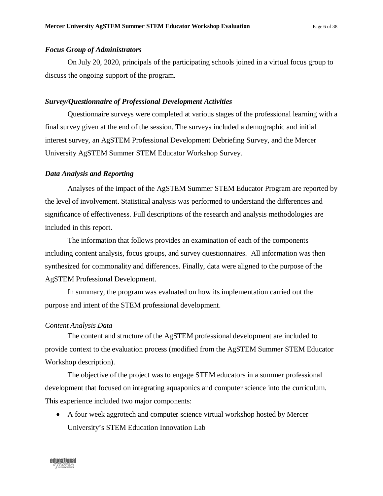#### *Focus Group of Administrators*

On July 20, 2020, principals of the participating schools joined in a virtual focus group to discuss the ongoing support of the program.

#### *Survey/Questionnaire of Professional Development Activities*

Questionnaire surveys were completed at various stages of the professional learning with a final survey given at the end of the session. The surveys included a demographic and initial interest survey, an AgSTEM Professional Development Debriefing Survey, and the Mercer University AgSTEM Summer STEM Educator Workshop Survey.

#### <span id="page-5-0"></span>*Data Analysis and Reporting*

Analyses of the impact of the AgSTEM Summer STEM Educator Program are reported by the level of involvement. Statistical analysis was performed to understand the differences and significance of effectiveness. Full descriptions of the research and analysis methodologies are included in this report.

The information that follows provides an examination of each of the components including content analysis, focus groups, and survey questionnaires. All information was then synthesized for commonality and differences. Finally, data were aligned to the purpose of the AgSTEM Professional Development.

In summary, the program was evaluated on how its implementation carried out the purpose and intent of the STEM professional development.

#### <span id="page-5-1"></span>*Content Analysis Data*

The content and structure of the AgSTEM professional development are included to provide context to the evaluation process (modified from the AgSTEM Summer STEM Educator Workshop description).

The objective of the project was to engage STEM educators in a summer professional development that focused on integrating aquaponics and computer science into the curriculum. This experience included two major components:

• A four week aggrotech and computer science virtual workshop hosted by Mercer University's STEM Education Innovation Lab

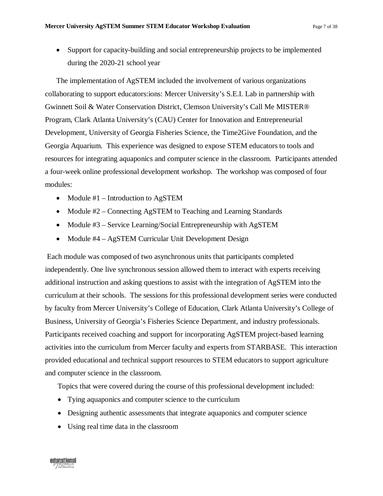• Support for capacity-building and social entrepreneurship projects to be implemented during the 2020-21 school year

The implementation of AgSTEM included the involvement of various organizations collaborating to support educators:ions: Mercer University's S.E.I. Lab in partnership with Gwinnett Soil & Water Conservation District, Clemson University's Call Me MISTER® Program, Clark Atlanta University's (CAU) Center for Innovation and Entrepreneurial Development, University of Georgia Fisheries Science, the Time2Give Foundation, and the Georgia Aquarium. This experience was designed to expose STEM educators to tools and resources for integrating aquaponics and computer science in the classroom. Participants attended a four-week online professional development workshop. The workshop was composed of four modules:

- Module #1 Introduction to AgSTEM
- Module #2 Connecting AgSTEM to Teaching and Learning Standards
- Module #3 Service Learning/Social Entrepreneurship with AgSTEM
- Module #4 AgSTEM Curricular Unit Development Design

Each module was composed of two asynchronous units that participants completed independently. One live synchronous session allowed them to interact with experts receiving additional instruction and asking questions to assist with the integration of AgSTEM into the curriculum at their schools. The sessions for this professional development series were conducted by faculty from Mercer University's College of Education, Clark Atlanta University's College of Business, University of Georgia's Fisheries Science Department, and industry professionals. Participants received coaching and support for incorporating AgSTEM project-based learning activities into the curriculum from Mercer faculty and experts from STARBASE. This interaction provided educational and technical support resources to STEM educators to support agriculture and computer science in the classroom.

Topics that were covered during the course of this professional development included:

- Tying aquaponics and computer science to the curriculum
- Designing authentic assessments that integrate aquaponics and computer science
- Using real time data in the classroom

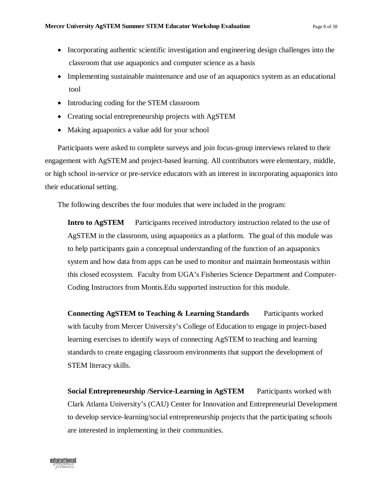- Incorporating authentic scientific investigation and engineering design challenges into the classroom that use aquaponics and computer science as a basis
- Implementing sustainable maintenance and use of an aquaponics system as an educational tool
- Introducing coding for the STEM classroom
- Creating social entrepreneurship projects with AgSTEM
- Making aquaponics a value add for your school

Participants were asked to complete surveys and join focus-group interviews related to their engagement with AgSTEM and project-based learning. All contributors were elementary, middle, or high school in-service or pre-service educators with an interest in incorporating aquaponics into their educational setting.

The following describes the four modules that were included in the program:

**Intro to AgSTEM** Participants received introductory instruction related to the use of AgSTEM in the classroom, using aquaponics as a platform. The goal of this module was to help participants gain a conceptual understanding of the function of an aquaponics system and how data from apps can be used to monitor and maintain homeostasis within this closed ecosystem. Faculty from UGA's Fisheries Science Department and Computer-Coding Instructors from Montis.Edu supported instruction for this module.

**Connecting AgSTEM to Teaching & Learning Standards** Participants worked with faculty from Mercer University's College of Education to engage in project-based learning exercises to identify ways of connecting AgSTEM to teaching and learning standards to create engaging classroom environments that support the development of STEM literacy skills.

**Social Entrepreneurship /Service-Learning in AgSTEM** Participants worked with Clark Atlanta University's (CAU) Center for Innovation and Entrepreneurial Development to develop service-learning/social entrepreneurship projects that the participating schools are interested in implementing in their communities.

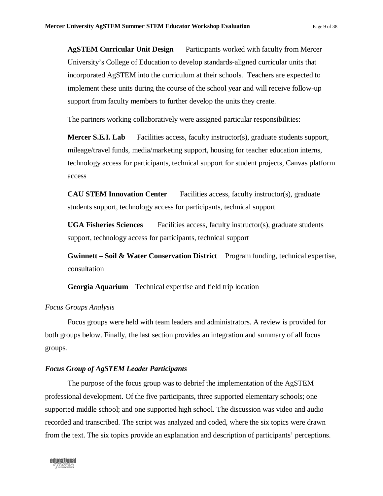**AgSTEM Curricular Unit Design** Participants worked with faculty from Mercer University's College of Education to develop standards-aligned curricular units that incorporated AgSTEM into the curriculum at their schools. Teachers are expected to implement these units during the course of the school year and will receive follow-up support from faculty members to further develop the units they create.

The partners working collaboratively were assigned particular responsibilities:

**Mercer S.E.I. Lab** Facilities access, faculty instructor(s), graduate students support, mileage/travel funds, media/marketing support, housing for teacher education interns, technology access for participants, technical support for student projects, Canvas platform access

**CAU STEM Innovation Center** Facilities access, faculty instructor(s), graduate students support, technology access for participants, technical support

**UGA Fisheries Sciences** Facilities access, faculty instructor(s), graduate students support, technology access for participants, technical support

**Gwinnett – Soil & Water Conservation District** Program funding, technical expertise, consultation

**Georgia Aquarium** Technical expertise and field trip location

#### <span id="page-8-0"></span>*Focus Groups Analysis*

Focus groups were held with team leaders and administrators. A review is provided for both groups below. Finally, the last section provides an integration and summary of all focus groups.

#### <span id="page-8-1"></span>*Focus Group of AgSTEM Leader Participants*

The purpose of the focus group was to debrief the implementation of the AgSTEM professional development. Of the five participants, three supported elementary schools; one supported middle school; and one supported high school. The discussion was video and audio recorded and transcribed. The script was analyzed and coded, where the six topics were drawn from the text. The six topics provide an explanation and description of participants' perceptions.

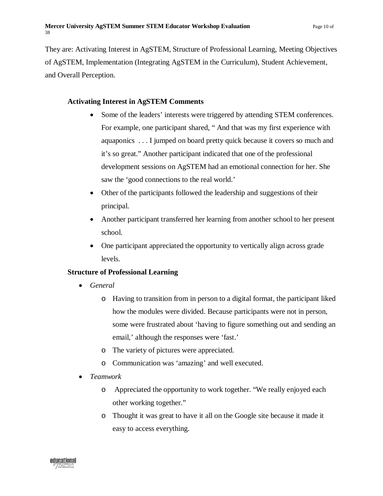They are: Activating Interest in AgSTEM, Structure of Professional Learning, Meeting Objectives of AgSTEM, Implementation (Integrating AgSTEM in the Curriculum), Student Achievement, and Overall Perception.

## **Activating Interest in AgSTEM Comments**

- Some of the leaders' interests were triggered by attending STEM conferences. For example, one participant shared, " And that was my first experience with aquaponics . . . I jumped on board pretty quick because it covers so much and it's so great." Another participant indicated that one of the professional development sessions on AgSTEM had an emotional connection for her. She saw the 'good connections to the real world.'
- Other of the participants followed the leadership and suggestions of their principal.
- Another participant transferred her learning from another school to her present school.
- One participant appreciated the opportunity to vertically align across grade levels.

#### **Structure of Professional Learning**

- *General*
	- o Having to transition from in person to a digital format, the participant liked how the modules were divided. Because participants were not in person, some were frustrated about 'having to figure something out and sending an email,' although the responses were 'fast.'
	- o The variety of pictures were appreciated.
	- o Communication was 'amazing' and well executed.
- *Teamwork*
	- o Appreciated the opportunity to work together. "We really enjoyed each other working together."
	- o Thought it was great to have it all on the Google site because it made it easy to access everything.

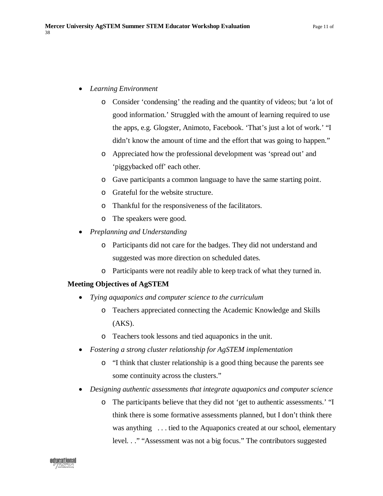- *Learning Environment*
	- o Consider 'condensing' the reading and the quantity of videos; but 'a lot of good information.' Struggled with the amount of learning required to use the apps, e.g. Glogster, Animoto, Facebook. 'That's just a lot of work.' "I didn't know the amount of time and the effort that was going to happen."
	- o Appreciated how the professional development was 'spread out' and 'piggybacked off' each other.
	- o Gave participants a common language to have the same starting point.
	- o Grateful for the website structure.
	- o Thankful for the responsiveness of the facilitators.
	- o The speakers were good.
- *Preplanning and Understanding*
	- o Participants did not care for the badges. They did not understand and suggested was more direction on scheduled dates.
	- o Participants were not readily able to keep track of what they turned in.

# **Meeting Objectives of AgSTEM**

- *Tying aquaponics and computer science to the curriculum*
	- o Teachers appreciated connecting the Academic Knowledge and Skills  $(AKS)$ .
	- o Teachers took lessons and tied aquaponics in the unit.
- *Fostering a strong cluster relationship for AgSTEM implementation*
	- o "I think that cluster relationship is a good thing because the parents see some continuity across the clusters."
- *Designing authentic assessments that integrate aquaponics and computer science*
	- o The participants believe that they did not 'get to authentic assessments.' "I think there is some formative assessments planned, but I don't think there was anything . . . tied to the Aquaponics created at our school, elementary level. . ." "Assessment was not a big focus." The contributors suggested

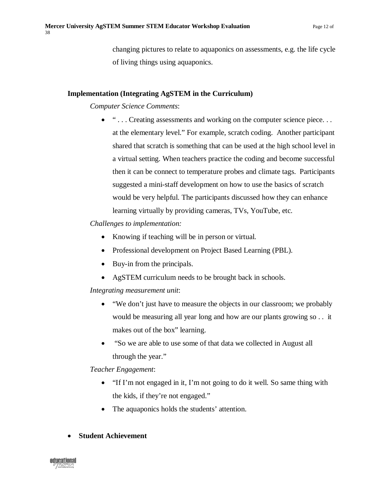changing pictures to relate to aquaponics on assessments, e.g. the life cycle of living things using aquaponics.

## **Implementation (Integrating AgSTEM in the Curriculum)**

*Computer Science Comments*:

• "... Creating assessments and working on the computer science piece... at the elementary level." For example, scratch coding. Another participant shared that scratch is something that can be used at the high school level in a virtual setting. When teachers practice the coding and become successful then it can be connect to temperature probes and climate tags. Participants suggested a mini-staff development on how to use the basics of scratch would be very helpful. The participants discussed how they can enhance learning virtually by providing cameras, TVs, YouTube, etc.

*Challenges to implementation:*

- Knowing if teaching will be in person or virtual.
- Professional development on Project Based Learning (PBL).
- Buy-in from the principals.
- AgSTEM curriculum needs to be brought back in schools.

*Integrating measurement unit*:

- "We don't just have to measure the objects in our classroom; we probably would be measuring all year long and how are our plants growing so . . it makes out of the box" learning.
- "So we are able to use some of that data we collected in August all through the year."

# *Teacher Engagement*:

- "If I'm not engaged in it, I'm not going to do it well. So same thing with the kids, if they're not engaged."
- The aquaponics holds the students' attention.

# • **Student Achievement**

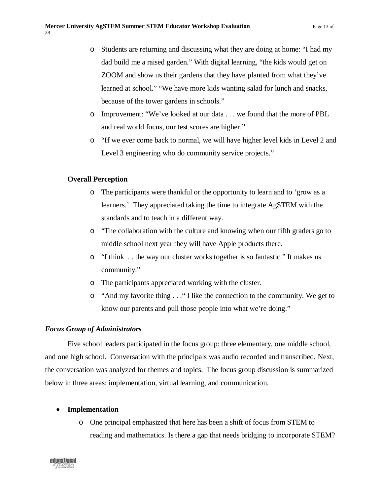- o Students are returning and discussing what they are doing at home: "I had my dad build me a raised garden." With digital learning, "the kids would get on ZOOM and show us their gardens that they have planted from what they've learned at school." "We have more kids wanting salad for lunch and snacks, because of the tower gardens in schools."
- o Improvement: "We've looked at our data . . . we found that the more of PBL and real world focus, our test scores are higher."
- o "If we ever come back to normal, we will have higher level kids in Level 2 and Level 3 engineering who do community service projects."

#### **Overall Perception**

- o The participants were thankful or the opportunity to learn and to 'grow as a learners.' They appreciated taking the time to integrate AgSTEM with the standards and to teach in a different way.
- o "The collaboration with the culture and knowing when our fifth graders go to middle school next year they will have Apple products there.
- o "I think . . the way our cluster works together is so fantastic." It makes us community."
- o The participants appreciated working with the cluster.
- o "And my favorite thing . . ." I like the connection to the community. We get to know our parents and pull those people into what we're doing."

#### <span id="page-12-0"></span>*Focus Group of Administrators*

Five school leaders participated in the focus group: three elementary, one middle school, and one high school. Conversation with the principals was audio recorded and transcribed. Next, the conversation was analyzed for themes and topics. The focus group discussion is summarized below in three areas: implementation, virtual learning, and communication.

#### • **Implementation**

o One principal emphasized that here has been a shift of focus from STEM to reading and mathematics. Is there a gap that needs bridging to incorporate STEM?

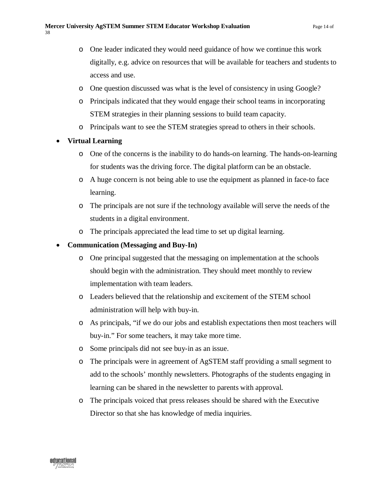- o One leader indicated they would need guidance of how we continue this work digitally, e.g. advice on resources that will be available for teachers and students to access and use.
- o One question discussed was what is the level of consistency in using Google?
- o Principals indicated that they would engage their school teams in incorporating STEM strategies in their planning sessions to build team capacity.
- o Principals want to see the STEM strategies spread to others in their schools.
- **Virtual Learning**
	- o One of the concerns is the inability to do hands-on learning. The hands-on-learning for students was the driving force. The digital platform can be an obstacle.
	- o A huge concern is not being able to use the equipment as planned in face-to face learning.
	- o The principals are not sure if the technology available will serve the needs of the students in a digital environment.
	- o The principals appreciated the lead time to set up digital learning.

# • **Communication (Messaging and Buy-In)**

- o One principal suggested that the messaging on implementation at the schools should begin with the administration. They should meet monthly to review implementation with team leaders.
- o Leaders believed that the relationship and excitement of the STEM school administration will help with buy-in.
- o As principals, "if we do our jobs and establish expectations then most teachers will buy-in." For some teachers, it may take more time.
- o Some principals did not see buy-in as an issue.
- o The principals were in agreement of AgSTEM staff providing a small segment to add to the schools' monthly newsletters. Photographs of the students engaging in learning can be shared in the newsletter to parents with approval.
- o The principals voiced that press releases should be shared with the Executive Director so that she has knowledge of media inquiries.

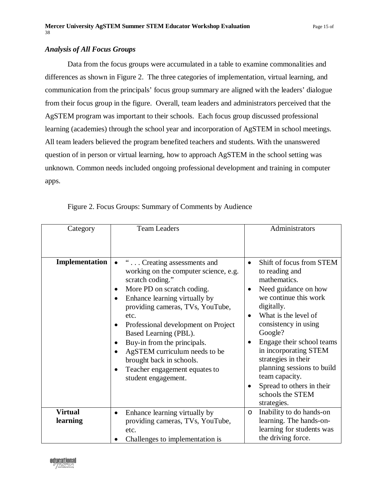#### <span id="page-14-0"></span>*Analysis of All Focus Groups*

Data from the focus groups were accumulated in a table to examine commonalities and differences as shown in Figure 2. The three categories of implementation, virtual learning, and communication from the principals' focus group summary are aligned with the leaders' dialogue from their focus group in the figure. Overall, team leaders and administrators perceived that the AgSTEM program was important to their schools. Each focus group discussed professional learning (academies) through the school year and incorporation of AgSTEM in school meetings. All team leaders believed the program benefited teachers and students. With the unanswered question of in person or virtual learning, how to approach AgSTEM in the school setting was unknown. Common needs included ongoing professional development and training in computer apps.

<span id="page-14-1"></span>

| Category                   | <b>Team Leaders</b>                                                                                                                                                                                                                                                                                                                                                                                                                                   | Administrators                                                                                                                                                                                                                                                                                                                                                                                              |
|----------------------------|-------------------------------------------------------------------------------------------------------------------------------------------------------------------------------------------------------------------------------------------------------------------------------------------------------------------------------------------------------------------------------------------------------------------------------------------------------|-------------------------------------------------------------------------------------------------------------------------------------------------------------------------------------------------------------------------------------------------------------------------------------------------------------------------------------------------------------------------------------------------------------|
|                            |                                                                                                                                                                                                                                                                                                                                                                                                                                                       |                                                                                                                                                                                                                                                                                                                                                                                                             |
| Implementation             | " Creating assessments and<br>$\bullet$<br>working on the computer science, e.g.<br>scratch coding."<br>More PD on scratch coding.<br>٠<br>Enhance learning virtually by<br>$\bullet$<br>providing cameras, TVs, YouTube,<br>etc.<br>Professional development on Project<br>Based Learning (PBL).<br>Buy-in from the principals.<br>AgSTEM curriculum needs to be<br>brought back in schools.<br>Teacher engagement equates to<br>student engagement. | Shift of focus from STEM<br>$\bullet$<br>to reading and<br>mathematics.<br>Need guidance on how<br>$\bullet$<br>we continue this work<br>digitally.<br>What is the level of<br>consistency in using<br>Google?<br>Engage their school teams<br>in incorporating STEM<br>strategies in their<br>planning sessions to build<br>team capacity.<br>Spread to others in their<br>schools the STEM<br>strategies. |
| <b>Virtual</b><br>learning | Enhance learning virtually by<br>$\bullet$<br>providing cameras, TVs, YouTube,<br>etc.<br>Challenges to implementation is                                                                                                                                                                                                                                                                                                                             | Inability to do hands-on<br>$\circ$<br>learning. The hands-on-<br>learning for students was<br>the driving force.                                                                                                                                                                                                                                                                                           |

Figure 2. Focus Groups: Summary of Comments by Audience

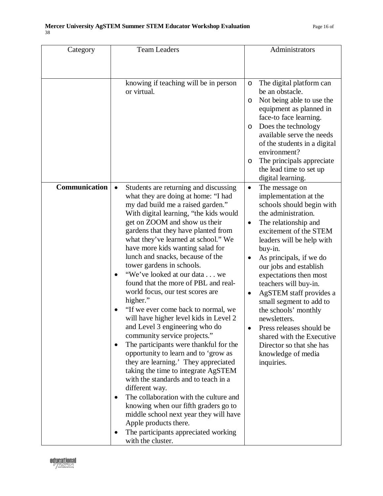| Category      | <b>Team Leaders</b>                                                                                                                                                                                                                                                                                                                                                                                                                                                                                                                                                                                                                                                                                                                                                                                                                                                                                                                                                                                                                                                                                                                                              | Administrators                                                                                                                                                                                                                                                                                                                                                                                                                                                                                                                                           |
|---------------|------------------------------------------------------------------------------------------------------------------------------------------------------------------------------------------------------------------------------------------------------------------------------------------------------------------------------------------------------------------------------------------------------------------------------------------------------------------------------------------------------------------------------------------------------------------------------------------------------------------------------------------------------------------------------------------------------------------------------------------------------------------------------------------------------------------------------------------------------------------------------------------------------------------------------------------------------------------------------------------------------------------------------------------------------------------------------------------------------------------------------------------------------------------|----------------------------------------------------------------------------------------------------------------------------------------------------------------------------------------------------------------------------------------------------------------------------------------------------------------------------------------------------------------------------------------------------------------------------------------------------------------------------------------------------------------------------------------------------------|
|               |                                                                                                                                                                                                                                                                                                                                                                                                                                                                                                                                                                                                                                                                                                                                                                                                                                                                                                                                                                                                                                                                                                                                                                  |                                                                                                                                                                                                                                                                                                                                                                                                                                                                                                                                                          |
|               | knowing if teaching will be in person<br>or virtual.                                                                                                                                                                                                                                                                                                                                                                                                                                                                                                                                                                                                                                                                                                                                                                                                                                                                                                                                                                                                                                                                                                             | The digital platform can<br>O<br>be an obstacle.<br>Not being able to use the<br>$\circ$<br>equipment as planned in<br>face-to face learning.<br>Does the technology<br>$\circ$<br>available serve the needs<br>of the students in a digital<br>environment?<br>The principals appreciate<br>O<br>the lead time to set up<br>digital learning.                                                                                                                                                                                                           |
| Communication | Students are returning and discussing<br>$\bullet$<br>what they are doing at home: "I had<br>my dad build me a raised garden."<br>With digital learning, "the kids would<br>get on ZOOM and show us their<br>gardens that they have planted from<br>what they've learned at school." We<br>have more kids wanting salad for<br>lunch and snacks, because of the<br>tower gardens in schools.<br>"We've looked at our data we<br>$\bullet$<br>found that the more of PBL and real-<br>world focus, our test scores are<br>higher."<br>"If we ever come back to normal, we<br>will have higher level kids in Level 2<br>and Level 3 engineering who do<br>community service projects."<br>The participants were thankful for the<br>$\bullet$<br>opportunity to learn and to 'grow as<br>they are learning.' They appreciated<br>taking the time to integrate AgSTEM<br>with the standards and to teach in a<br>different way.<br>The collaboration with the culture and<br>$\bullet$<br>knowing when our fifth graders go to<br>middle school next year they will have<br>Apple products there.<br>The participants appreciated working<br>٠<br>with the cluster. | The message on<br>$\bullet$<br>implementation at the<br>schools should begin with<br>the administration.<br>The relationship and<br>٠<br>excitement of the STEM<br>leaders will be help with<br>buy-in.<br>As principals, if we do<br>٠<br>our jobs and establish<br>expectations then most<br>teachers will buy-in.<br>AgSTEM staff provides a<br>$\bullet$<br>small segment to add to<br>the schools' monthly<br>newsletters.<br>Press releases should be<br>shared with the Executive<br>Director so that she has<br>knowledge of media<br>inquiries. |

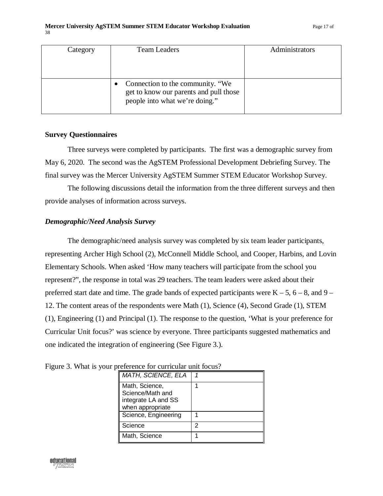| Category | <b>Team Leaders</b>                                                                                          | Administrators |
|----------|--------------------------------------------------------------------------------------------------------------|----------------|
|          | Connection to the community. "We<br>get to know our parents and pull those<br>people into what we're doing." |                |

#### <span id="page-16-0"></span>**Survey Questionnaires**

Three surveys were completed by participants. The first was a demographic survey from May 6, 2020. The second was the AgSTEM Professional Development Debriefing Survey. The final survey was the Mercer University AgSTEM Summer STEM Educator Workshop Survey.

The following discussions detail the information from the three different surveys and then provide analyses of information across surveys.

#### <span id="page-16-1"></span>*Demographic/Need Analysis Survey*

The demographic/need analysis survey was completed by six team leader participants, representing Archer High School (2), McConnell Middle School, and Cooper, Harbins, and Lovin Elementary Schools. When asked 'How many teachers will participate from the school you represent?", the response in total was 29 teachers. The team leaders were asked about their preferred start date and time. The grade bands of expected participants were  $K - 5$ ,  $6 - 8$ , and  $9 -$ 12. The content areas of the respondents were Math (1), Science (4), Second Grade (1), STEM (1), Engineering (1) and Principal (1). The response to the question, 'What is your preference for Curricular Unit focus?' was science by everyone. Three participants suggested mathematics and one indicated the integration of engineering (See Figure 3.).

| <b>MATH, SCIENCE, ELA</b>                                                     |   |
|-------------------------------------------------------------------------------|---|
| Math, Science,<br>Science/Math and<br>integrate LA and SS<br>when appropriate |   |
| Science, Engineering                                                          |   |
| Science                                                                       | 2 |
| Math, Science                                                                 |   |

<span id="page-16-2"></span>Figure 3. What is your preference for curricular unit focus?

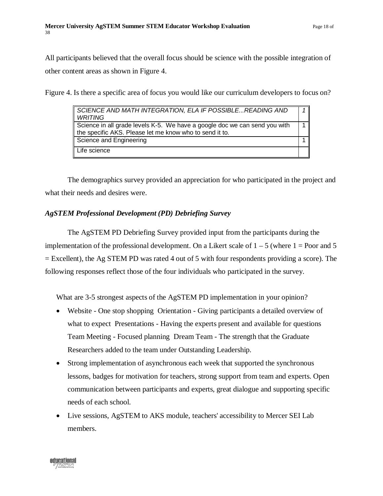All participants believed that the overall focus should be science with the possible integration of other content areas as shown in Figure 4.

<span id="page-17-1"></span>Figure 4. Is there a specific area of focus you would like our curriculum developers to focus on?

| SCIENCE AND MATH INTEGRATION, ELA IF POSSIBLEREADING AND<br><b>WRITING</b>                                                            |  |
|---------------------------------------------------------------------------------------------------------------------------------------|--|
| Science in all grade levels K-5. We have a google doc we can send you with<br>the specific AKS. Please let me know who to send it to. |  |
| Science and Engineering                                                                                                               |  |
| Life science                                                                                                                          |  |

The demographics survey provided an appreciation for who participated in the project and what their needs and desires were.

# <span id="page-17-0"></span>*AgSTEM Professional Development (PD) Debriefing Survey*

The AgSTEM PD Debriefing Survey provided input from the participants during the implementation of the professional development. On a Likert scale of  $1 - 5$  (where  $1 =$  Poor and 5 = Excellent), the Ag STEM PD was rated 4 out of 5 with four respondents providing a score). The following responses reflect those of the four individuals who participated in the survey.

What are 3-5 strongest aspects of the AgSTEM PD implementation in your opinion?

- Website One stop shopping Orientation Giving participants a detailed overview of what to expect Presentations - Having the experts present and available for questions Team Meeting - Focused planning Dream Team - The strength that the Graduate Researchers added to the team under Outstanding Leadership.
- Strong implementation of asynchronous each week that supported the synchronous lessons, badges for motivation for teachers, strong support from team and experts. Open communication between participants and experts, great dialogue and supporting specific needs of each school.
- Live sessions, AgSTEM to AKS module, teachers' accessibility to Mercer SEI Lab members.

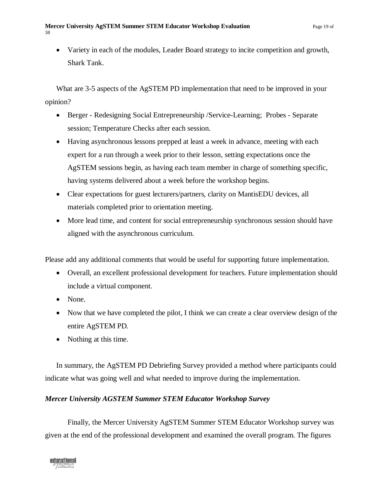• Variety in each of the modules, Leader Board strategy to incite competition and growth, Shark Tank.

What are 3-5 aspects of the AgSTEM PD implementation that need to be improved in your opinion?

- Berger Redesigning Social Entrepreneurship / Service-Learning; Probes Separate session; Temperature Checks after each session.
- Having asynchronous lessons prepped at least a week in advance, meeting with each expert for a run through a week prior to their lesson, setting expectations once the AgSTEM sessions begin, as having each team member in charge of something specific, having systems delivered about a week before the workshop begins.
- Clear expectations for guest lecturers/partners, clarity on MantisEDU devices, all materials completed prior to orientation meeting.
- More lead time, and content for social entrepreneurship synchronous session should have aligned with the asynchronous curriculum.

Please add any additional comments that would be useful for supporting future implementation.

- Overall, an excellent professional development for teachers. Future implementation should include a virtual component.
- None.
- Now that we have completed the pilot, I think we can create a clear overview design of the entire AgSTEM PD.
- Nothing at this time.

In summary, the AgSTEM PD Debriefing Survey provided a method where participants could indicate what was going well and what needed to improve during the implementation.

# <span id="page-18-0"></span>*Mercer University AGSTEM Summer STEM Educator Workshop Survey*

Finally, the Mercer University AgSTEM Summer STEM Educator Workshop survey was given at the end of the professional development and examined the overall program. The figures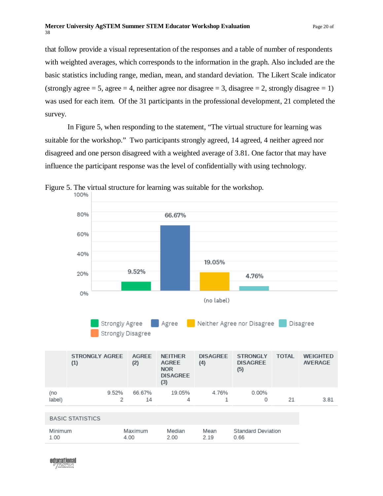#### **Mercer University AgSTEM Summer STEM Educator Workshop Evaluation** Page 20 of 38

that follow provide a visual representation of the responses and a table of number of respondents with weighted averages, which corresponds to the information in the graph. Also included are the basic statistics including range, median, mean, and standard deviation. The Likert Scale indicator (strongly agree  $= 5$ , agree  $= 4$ , neither agree nor disagree  $= 3$ , disagree  $= 2$ , strongly disagree  $= 1$ ) was used for each item. Of the 31 participants in the professional development, 21 completed the survey.

In Figure 5, when responding to the statement, "The virtual structure for learning was suitable for the workshop." Two participants strongly agreed, 14 agreed, 4 neither agreed nor disagreed and one person disagreed with a weighted average of 3.81. One factor that may have influence the participant response was the level of confidentially with using technology.



<span id="page-19-0"></span>Figure 5. The virtual structure for learning was suitable for the workshop.<br>100%

educational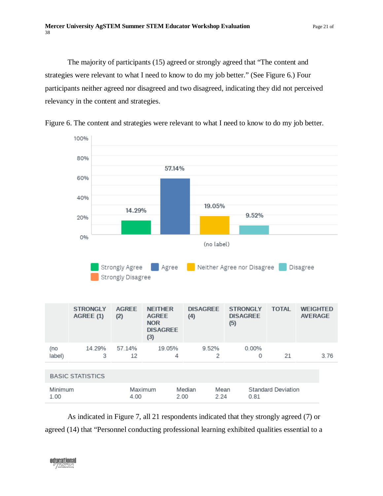The majority of participants (15) agreed or strongly agreed that "The content and strategies were relevant to what I need to know to do my job better." (See Figure 6.) Four participants neither agreed nor disagreed and two disagreed, indicating they did not perceived relevancy in the content and strategies.



<span id="page-20-0"></span>Figure 6. The content and strategies were relevant to what I need to know to do my job better.

As indicated in Figure 7, all 21 respondents indicated that they strongly agreed (7) or agreed (14) that "Personnel conducting professional learning exhibited qualities essential to a

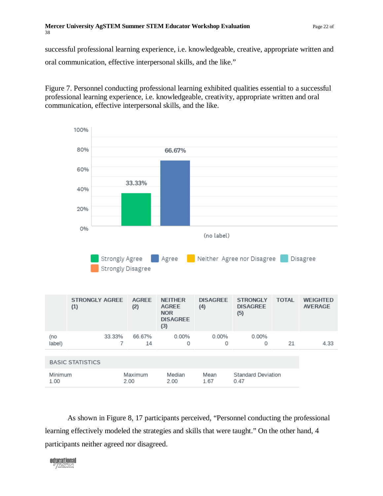successful professional learning experience, i.e. knowledgeable, creative, appropriate written and oral communication, effective interpersonal skills, and the like."

<span id="page-21-0"></span>Figure 7. Personnel conducting professional learning exhibited qualities essential to a successful professional learning experience, i.e. knowledgeable, creativity, appropriate written and oral communication, effective interpersonal skills, and the like.



As shown in Figure 8, 17 participants perceived, "Personnel conducting the professional learning effectively modeled the strategies and skills that were taught." On the other hand, 4 participants neither agreed nor disagreed.

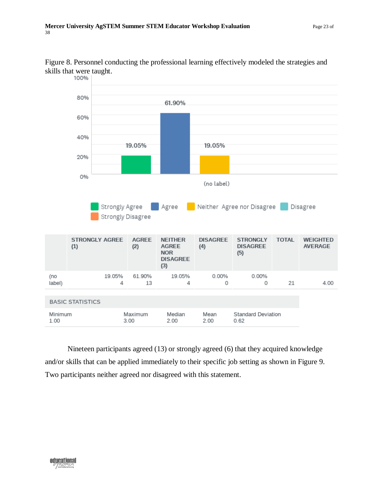

<span id="page-22-0"></span>Figure 8. Personnel conducting the professional learning effectively modeled the strategies and skills that were taught.<br>100%

Nineteen participants agreed (13) or strongly agreed (6) that they acquired knowledge and/or skills that can be applied immediately to their specific job setting as shown in Figure 9. Two participants neither agreed nor disagreed with this statement.

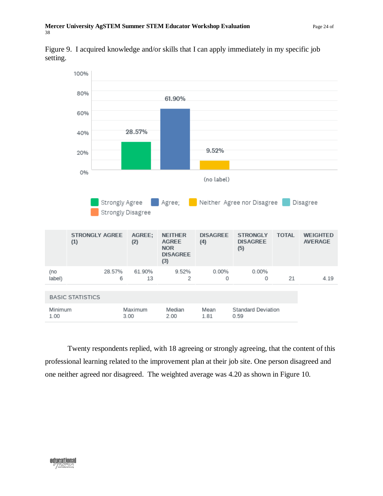<span id="page-23-0"></span>Figure 9. I acquired knowledge and/or skills that I can apply immediately in my specific job setting.



Twenty respondents replied, with 18 agreeing or strongly agreeing, that the content of this professional learning related to the improvement plan at their job site. One person disagreed and one neither agreed nor disagreed. The weighted average was 4.20 as shown in Figure 10.

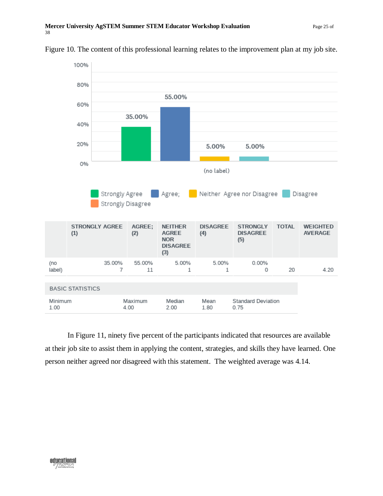

#### <span id="page-24-0"></span>Figure 10. The content of this professional learning relates to the improvement plan at my job site.

In Figure 11, ninety five percent of the participants indicated that resources are available at their job site to assist them in applying the content, strategies, and skills they have learned. One person neither agreed nor disagreed with this statement. The weighted average was 4.14.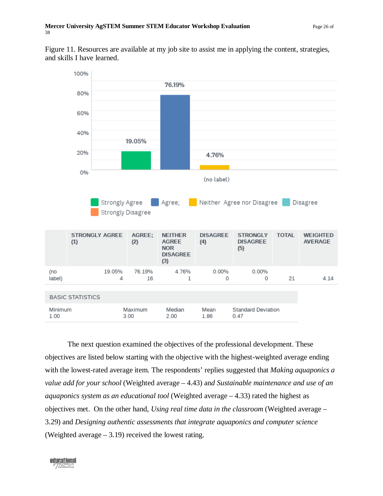<span id="page-25-0"></span>Figure 11. Resources are available at my job site to assist me in applying the content, strategies, and skills I have learned.



The next question examined the objectives of the professional development. These objectives are listed below starting with the objective with the highest-weighted average ending with the lowest-rated average item. The respondents' replies suggested that *Making aquaponics a value add for your school* (Weighted average – 4.43) an*d Sustainable maintenance and use of an aquaponics system as an educational tool* (Weighted average – 4.33) rated the highest as objectives met. On the other hand, *Using real time data in the classroom* (Weighted average – 3.29) and *Designing authentic assessments that integrate aquaponics and computer science*  (Weighted average – 3.19) received the lowest rating.

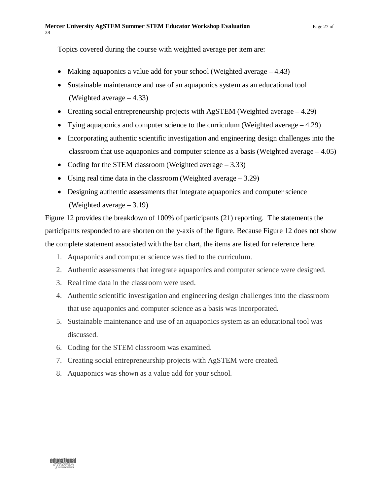Topics covered during the course with weighted average per item are:

- Making aquaponics a value add for your school (Weighted average 4.43)
- Sustainable maintenance and use of an aquaponics system as an educational tool (Weighted average – 4.33)
- Creating social entrepreneurship projects with AgSTEM (Weighted average 4.29)
- Tying aquaponics and computer science to the curriculum (Weighted average 4.29)
- Incorporating authentic scientific investigation and engineering design challenges into the classroom that use aquaponics and computer science as a basis (Weighted average – 4.05)
- Coding for the STEM classroom (Weighted average 3.33)
- Using real time data in the classroom (Weighted average 3.29)
- Designing authentic assessments that integrate aquaponics and computer science (Weighted average – 3.19)

Figure 12 provides the breakdown of 100% of participants (21) reporting. The statements the participants responded to are shorten on the y-axis of the figure. Because Figure 12 does not show the complete statement associated with the bar chart, the items are listed for reference here.

- 1. Aquaponics and computer science was tied to the curriculum.
- 2. Authentic assessments that integrate aquaponics and computer science were designed.
- 3. Real time data in the classroom were used.
- 4. Authentic scientific investigation and engineering design challenges into the classroom that use aquaponics and computer science as a basis was incorporated.
- 5. Sustainable maintenance and use of an aquaponics system as an educational tool was discussed.
- 6. Coding for the STEM classroom was examined.
- 7. Creating social entrepreneurship projects with AgSTEM were created.
- 8. Aquaponics was shown as a value add for your school.

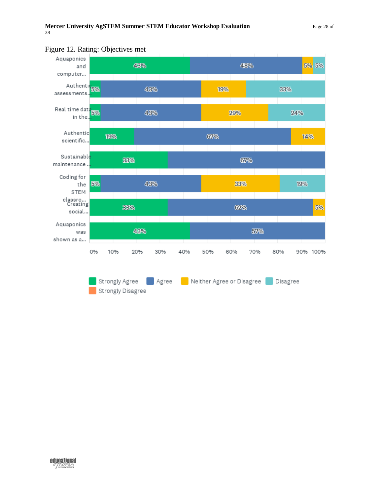

# <span id="page-27-0"></span>Figure 12. Rating: Objectives met

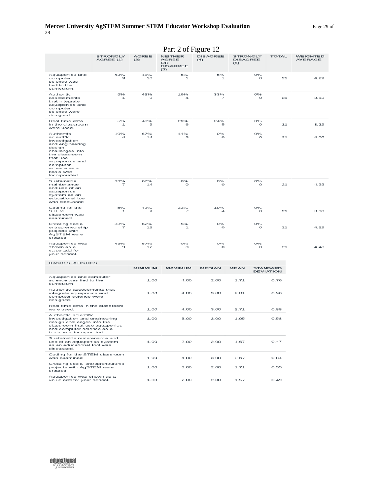#### **Mercer University AgSTEM Summer STEM Educator Workshop Evaluation** Page 29 of 38

| Part 2 of Figure 12                                                                                                                                                                               |                              |                     |                                                                |                        |                                           |                                     |                                   |
|---------------------------------------------------------------------------------------------------------------------------------------------------------------------------------------------------|------------------------------|---------------------|----------------------------------------------------------------|------------------------|-------------------------------------------|-------------------------------------|-----------------------------------|
|                                                                                                                                                                                                   | <b>STRONGLY</b><br>AGREE (1) | <b>AGREE</b><br>(2) | <b>NEITHER</b><br><b>AGREE</b><br>OR<br><b>DISAGREE</b><br>(3) | <b>DISAGREE</b><br>(4) | <b>STRONGLY</b><br><b>DISAGREE</b><br>(5) | <b>TOTAL</b>                        | <b>WEIGHTED</b><br><b>AVERAGE</b> |
| Aquaponics and<br>computer<br>science was<br>tied to the<br>curriculum.                                                                                                                           | 43%<br>9                     | 48%<br>10           | 5%<br>$\mathbf 1$                                              | 5%<br>$\mathbf 1$      | 0%<br>$\circ$                             | 21                                  | 4.29                              |
| Authentic<br>assessments<br>that integrate<br>aquaponics and<br>computer<br>science were<br>designed.                                                                                             | 5%<br>$\mathbf{1}$           | 43%<br>9            | 19%<br>4                                                       | 33%<br>7               | 0%<br>$\circ$                             | 21                                  | 3.19                              |
| Real time data<br>in the classroom<br>were used.                                                                                                                                                  | 5%<br>$\mathbf{1}$           | 43%<br>9            | 29%<br>6                                                       | 24%<br>5               | 0%<br>$\circ$                             | 21                                  | 3.29                              |
| Authentic<br>scientific<br>investigation<br>and engineering<br>design<br>challenges into<br>the classroom<br>that use<br>aquaponics and<br>computer<br>science as a<br>basis was<br>incorporated. | 19%<br>4                     | 67%<br>14           | 14%<br>З                                                       | 0%<br>$\circ$          | 0%<br>O                                   | 21                                  | 4.05                              |
| Sustainable<br>maintenance<br>and use of an<br>aquaponics<br>system as an<br>educational tool<br>was discussed.                                                                                   | 33%<br>7                     | 67%<br>14           | 0%<br>$\circ$                                                  | 0%<br>$\circ$          | 0%<br>$\circ$                             | 21                                  | 4.33                              |
| Coding for the<br>STEM<br>classroom was<br>examined.                                                                                                                                              | 5%<br>$\mathbf{1}$           | 43%<br>9            | 33%<br>7                                                       | 19%<br>⊿               | 0%<br>$\circ$                             | 21                                  | 3.33                              |
| Creating social<br>entrepreneurship<br>projects with<br>AgSTEM were<br>created.                                                                                                                   | 33%<br>7                     | 62%<br>13           | 5%<br>1                                                        | 0%<br>$\circ$          | 0%<br>O                                   | 21                                  | 4.29                              |
| Aquaponics was<br>shown as a<br>value add for<br>your school.                                                                                                                                     | 43%<br>9                     | 57%<br>12           | 0%<br>O                                                        | 0%<br>O                | 0%<br>O                                   | 21                                  | 4.43                              |
| <b>BASIC STATISTICS</b>                                                                                                                                                                           |                              |                     |                                                                |                        |                                           |                                     |                                   |
|                                                                                                                                                                                                   |                              | <b>MINIMUM</b>      | <b>MAXIMUM</b>                                                 | <b>MEDIAN</b>          | <b>MEAN</b>                               | <b>STANDARD</b><br><b>DEVIATION</b> |                                   |
| Aquaponics and computer<br>science was tied to the<br>curriculum.                                                                                                                                 |                              | 1.00                | 4.00                                                           | 2.00                   | 1.71                                      | 0.76                                |                                   |
| Authentic assessments that<br>integrate aquaponics and<br>computer science were<br>designed.                                                                                                      |                              | 1.00                | 4.00                                                           | 3.00                   | 2.81                                      | 0.96                                |                                   |
| Real time data in the classroom<br>were used.                                                                                                                                                     |                              | 1.00                | 4.00                                                           | 3.00                   | 2.71                                      | 0.88                                |                                   |
| Authentic scientific<br>investigation and engineering<br>design challenges into the<br>classroom that use aquaponics<br>and computer science as a<br>basis was incorporated.                      |                              | 1.00                | 3.00                                                           | 2.00                   | 1.95                                      | 0.58                                |                                   |
| Sustainable maintenance and<br>use of an aquaponics system<br>as an educational tool was<br>discussed.                                                                                            |                              | 1.00                | 2.00                                                           | 2.00                   | 1.67                                      | 0.47                                |                                   |
| Coding for the STEM classroom<br>was examined.                                                                                                                                                    |                              | 1.00                | 4.00                                                           | 3.00                   | 2.67                                      | 0.84                                |                                   |
| Creating social entrepreneurship<br>projects with AgSTEM were<br>created.                                                                                                                         |                              | 1.00                | 3.00                                                           | 2.00                   | 1.71                                      | 0.55                                |                                   |
| Aquaponics was shown as a<br>value add for your school.                                                                                                                                           |                              | 1.00                | 2.00                                                           | 2.00                   | 1.57                                      | 0.49                                |                                   |

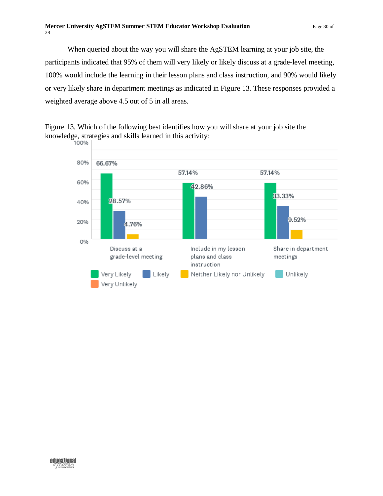When queried about the way you will share the AgSTEM learning at your job site, the participants indicated that 95% of them will very likely or likely discuss at a grade-level meeting, 100% would include the learning in their lesson plans and class instruction, and 90% would likely or very likely share in department meetings as indicated in Figure 13. These responses provided a weighted average above 4.5 out of 5 in all areas.

<span id="page-29-0"></span>



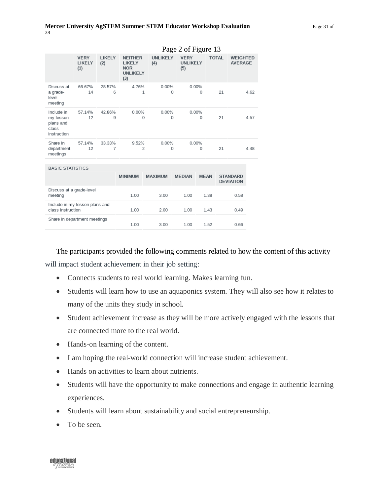|                                                              | Page 2 of Figure 13                 |                      |                                                                         |                         |                                       |                   |              |                                     |      |
|--------------------------------------------------------------|-------------------------------------|----------------------|-------------------------------------------------------------------------|-------------------------|---------------------------------------|-------------------|--------------|-------------------------------------|------|
|                                                              | <b>VERY</b><br><b>LIKELY</b><br>(1) | <b>LIKELY</b><br>(2) | <b>NEITHER</b><br><b>LIKELY</b><br><b>NOR</b><br><b>UNLIKELY</b><br>(3) | <b>UNLIKELY</b><br>(4)  | <b>VERY</b><br><b>UNLIKELY</b><br>(5) |                   | <b>TOTAL</b> | <b>WEIGHTED</b><br><b>AVERAGE</b>   |      |
| Discuss at<br>a grade-<br>level<br>meeting                   | 66.67%<br>14                        | 28.57%<br>6          | 4.76%                                                                   | 0.00%<br>1              | 0                                     | 0.00%<br>$\Omega$ | 21           |                                     | 4.62 |
| Include in<br>my lesson<br>plans and<br>class<br>instruction | 57.14%<br>12                        | 42.86%<br>9          | 0.00%                                                                   | 0.00%<br>$\Omega$       | 0                                     | 0.00%<br>0        | 21           |                                     | 4.57 |
| Share in<br>department<br>meetings                           | 57.14%<br>12                        | 33.33%<br>7          | 9.52%                                                                   | 0.00%<br>$\overline{2}$ | $\Omega$                              | 0.00%<br>0        | 21           |                                     | 4.48 |
| <b>BASIC STATISTICS</b>                                      |                                     |                      |                                                                         |                         |                                       |                   |              |                                     |      |
|                                                              |                                     |                      | <b>MINIMUM</b>                                                          | <b>MAXIMUM</b>          | <b>MEDIAN</b>                         | <b>MEAN</b>       |              | <b>STANDARD</b><br><b>DEVIATION</b> |      |
| Discuss at a grade-level<br>meeting                          |                                     |                      | 1.00                                                                    | 3.00                    | 1.00                                  | 1.38              |              | 0.58                                |      |
| Include in my lesson plans and<br>class instruction          |                                     |                      | 1.00                                                                    | 2.00                    | 1.00                                  | 1.43              |              | 0.49                                |      |
| Share in department meetings                                 |                                     |                      | 1.00                                                                    | 3.00                    | 1.00                                  | 1.52              |              | 0.66                                |      |

The participants provided the following comments related to how the content of this activity will impact student achievement in their job setting:

- Connects students to real world learning. Makes learning fun.
- Students will learn how to use an aquaponics system. They will also see how it relates to many of the units they study in school.
- Student achievement increase as they will be more actively engaged with the lessons that are connected more to the real world.
- Hands-on learning of the content.
- I am hoping the real-world connection will increase student achievement.
- Hands on activities to learn about nutrients.
- Students will have the opportunity to make connections and engage in authentic learning experiences.
- Students will learn about sustainability and social entrepreneurship.
- To be seen.

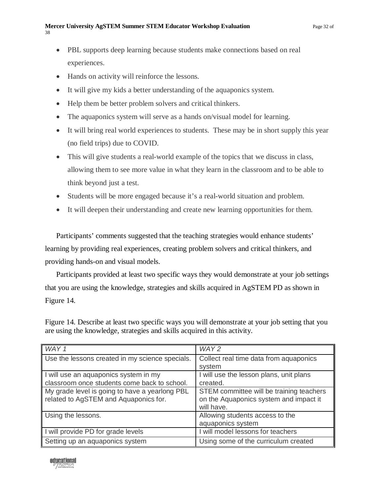- PBL supports deep learning because students make connections based on real experiences.
- Hands on activity will reinforce the lessons.
- It will give my kids a better understanding of the aquaponics system.
- Help them be better problem solvers and critical thinkers.
- The aquaponics system will serve as a hands on/visual model for learning.
- It will bring real world experiences to students. These may be in short supply this year (no field trips) due to COVID.
- This will give students a real-world example of the topics that we discuss in class, allowing them to see more value in what they learn in the classroom and to be able to think beyond just a test.
- Students will be more engaged because it's a real-world situation and problem.
- It will deepen their understanding and create new learning opportunities for them.

Participants' comments suggested that the teaching strategies would enhance students' learning by providing real experiences, creating problem solvers and critical thinkers, and providing hands-on and visual models.

Participants provided at least two specific ways they would demonstrate at your job settings that you are using the knowledge, strategies and skills acquired in AgSTEM PD as shown in Figure 14.

<span id="page-31-0"></span>Figure 14. Describe at least two specific ways you will demonstrate at your job setting that you are using the knowledge, strategies and skills acquired in this activity.

| WAY 1                                           | WAY <sub>2</sub>                         |
|-------------------------------------------------|------------------------------------------|
| Use the lessons created in my science specials. | Collect real time data from aquaponics   |
|                                                 | system                                   |
| I will use an aquaponics system in my           | I will use the lesson plans, unit plans  |
| classroom once students come back to school.    | created.                                 |
| My grade level is going to have a yearlong PBL  | STEM committee will be training teachers |
| related to AgSTEM and Aquaponics for.           | on the Aquaponics system and impact it   |
|                                                 | will have.                               |
| Using the lessons.                              | Allowing students access to the          |
|                                                 | aquaponics system                        |
| I will provide PD for grade levels              | I will model lessons for teachers        |
| Setting up an aquaponics system                 | Using some of the curriculum created     |

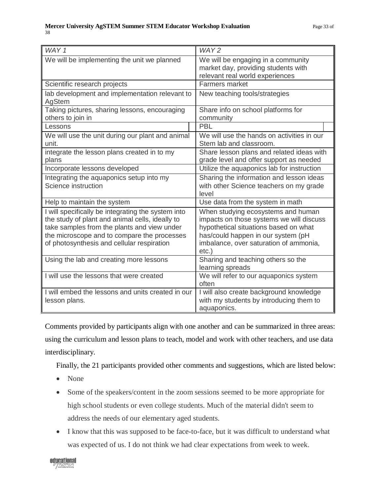| WAY 1                                                                                                                                                                                                                                             | WAY <sub>2</sub>                                                                                                                                                                                                    |
|---------------------------------------------------------------------------------------------------------------------------------------------------------------------------------------------------------------------------------------------------|---------------------------------------------------------------------------------------------------------------------------------------------------------------------------------------------------------------------|
| We will be implementing the unit we planned                                                                                                                                                                                                       | We will be engaging in a community<br>market day, providing students with<br>relevant real world experiences                                                                                                        |
| Scientific research projects                                                                                                                                                                                                                      | <b>Farmers market</b>                                                                                                                                                                                               |
| lab development and implementation relevant to<br>AgStem                                                                                                                                                                                          | New teaching tools/strategies                                                                                                                                                                                       |
| Taking pictures, sharing lessons, encouraging<br>others to join in                                                                                                                                                                                | Share info on school platforms for<br>community                                                                                                                                                                     |
| Lessons                                                                                                                                                                                                                                           | <b>PBL</b>                                                                                                                                                                                                          |
| We will use the unit during our plant and animal<br>unit.                                                                                                                                                                                         | We will use the hands on activities in our<br>Stem lab and classroom.                                                                                                                                               |
| integrate the lesson plans created in to my<br>plans                                                                                                                                                                                              | Share lesson plans and related ideas with<br>grade level and offer support as needed                                                                                                                                |
| Incorporate lessons developed                                                                                                                                                                                                                     | Utilize the aquaponics lab for instruction                                                                                                                                                                          |
| Integrating the aquaponics setup into my<br>Science instruction                                                                                                                                                                                   | Sharing the information and lesson ideas<br>with other Science teachers on my grade<br>level                                                                                                                        |
| Help to maintain the system                                                                                                                                                                                                                       | Use data from the system in math                                                                                                                                                                                    |
| I will specifically be integrating the system into<br>the study of plant and animal cells, ideally to<br>take samples from the plants and view under<br>the microscope and to compare the processes<br>of photosynthesis and cellular respiration | When studying ecosystems and human<br>impacts on those systems we will discuss<br>hypothetical situations based on what<br>has/could happen in our system (pH<br>imbalance, over saturation of ammonia,<br>$etc.$ ) |
| Using the lab and creating more lessons                                                                                                                                                                                                           | Sharing and teaching others so the<br>learning spreads                                                                                                                                                              |
| I will use the lessons that were created                                                                                                                                                                                                          | We will refer to our aquaponics system<br>often                                                                                                                                                                     |
| I will embed the lessons and units created in our<br>lesson plans.                                                                                                                                                                                | I will also create background knowledge<br>with my students by introducing them to<br>aquaponics.                                                                                                                   |

Comments provided by participants align with one another and can be summarized in three areas: using the curriculum and lesson plans to teach, model and work with other teachers, and use data interdisciplinary.

Finally, the 21 participants provided other comments and suggestions, which are listed below:

- None
- Some of the speakers/content in the zoom sessions seemed to be more appropriate for high school students or even college students. Much of the material didn't seem to address the needs of our elementary aged students.
- I know that this was supposed to be face-to-face, but it was difficult to understand what was expected of us. I do not think we had clear expectations from week to week.

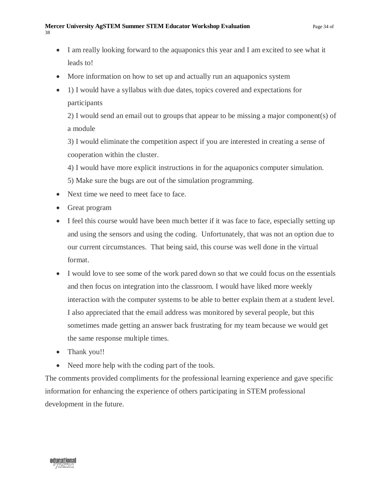- I am really looking forward to the aquaponics this year and I am excited to see what it leads to!
- More information on how to set up and actually run an aquaponics system
- 1) I would have a syllabus with due dates, topics covered and expectations for participants

2) I would send an email out to groups that appear to be missing a major component(s) of a module

3) I would eliminate the competition aspect if you are interested in creating a sense of cooperation within the cluster.

- 4) I would have more explicit instructions in for the aquaponics computer simulation.
- 5) Make sure the bugs are out of the simulation programming.
- Next time we need to meet face to face.
- Great program
- I feel this course would have been much better if it was face to face, especially setting up and using the sensors and using the coding. Unfortunately, that was not an option due to our current circumstances. That being said, this course was well done in the virtual format.
- I would love to see some of the work pared down so that we could focus on the essentials and then focus on integration into the classroom. I would have liked more weekly interaction with the computer systems to be able to better explain them at a student level. I also appreciated that the email address was monitored by several people, but this sometimes made getting an answer back frustrating for my team because we would get the same response multiple times.
- Thank you!!
- Need more help with the coding part of the tools.

The comments provided compliments for the professional learning experience and gave specific information for enhancing the experience of others participating in STEM professional development in the future.

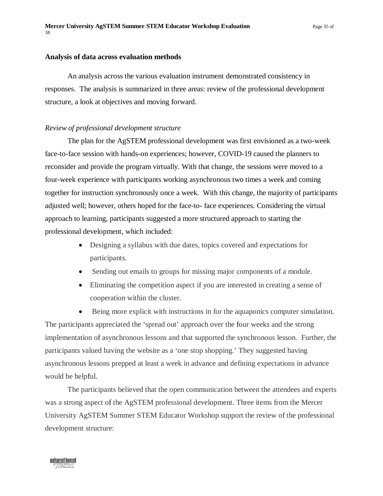#### <span id="page-34-0"></span>**Analysis of data across evaluation methods**

An analysis across the various evaluation instrument demonstrated consistency in responses. The analysis is summarized in three areas: review of the professional development structure, a look at objectives and moving forward.

#### *Review of professional development structure*

The plan for the AgSTEM professional development was first envisioned as a two-week face-to-face session with hands-on experiences; however, COVID-19 caused the planners to reconsider and provide the program virtually. With that change, the sessions were moved to a four-week experience with participants working asynchronous two times a week and coming together for instruction synchronously once a week. With this change, the majority of participants adjusted well; however, others hoped for the face-to- face experiences. Considering the virtual approach to learning, participants suggested a more structured approach to starting the professional development, which included:

- Designing a syllabus with due dates, topics covered and expectations for participants.
- Sending out emails to groups for missing major components of a module.
- Eliminating the competition aspect if you are interested in creating a sense of cooperation within the cluster.

Being more explicit with instructions in for the aquaponics computer simulation. The participants appreciated the 'spread out' approach over the four weeks and the strong implementation of asynchronous lessons and that supported the synchronous lesson. Further, the participants valued having the website as a 'one stop shopping.' They suggested having asynchronous lessons prepped at least a week in advance and defining expectations in advance would be helpful.

The participants believed that the open communication between the attendees and experts was a strong aspect of the AgSTEM professional development. Three items from the Mercer University AgSTEM Summer STEM Educator Workshop support the review of the professional development structure:

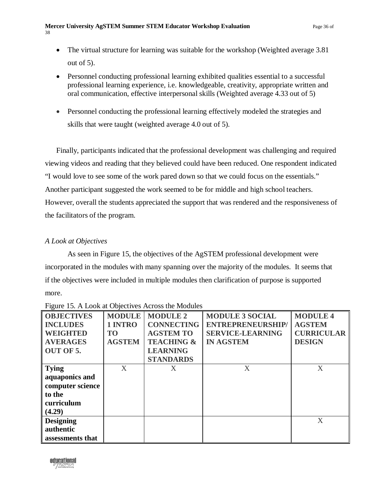- The virtual structure for learning was suitable for the workshop (Weighted average 3.81) out of 5).
- Personnel conducting professional learning exhibited qualities essential to a successful professional learning experience, i.e. knowledgeable, creativity, appropriate written and oral communication, effective interpersonal skills (Weighted average 4.33 out of 5)
- Personnel conducting the professional learning effectively modeled the strategies and skills that were taught (weighted average 4.0 out of 5).

Finally, participants indicated that the professional development was challenging and required viewing videos and reading that they believed could have been reduced. One respondent indicated "I would love to see some of the work pared down so that we could focus on the essentials." Another participant suggested the work seemed to be for middle and high school teachers. However, overall the students appreciated the support that was rendered and the responsiveness of the facilitators of the program.

## *A Look at Objectives*

As seen in Figure 15, the objectives of the AgSTEM professional development were incorporated in the modules with many spanning over the majority of the modules. It seems that if the objectives were included in multiple modules then clarification of purpose is supported more.

| <b>OBJECTIVES</b><br><b>INCLUDES</b><br><b>WEIGHTED</b>                              | <b>MODULE</b><br>1 INTRO<br>T <sub>O</sub> | <b>MODULE 2</b><br><b>CONNECTING</b><br><b>AGSTEM TO</b>     | <b>MODULE 3 SOCIAL</b><br><b>ENTREPRENEURSHIP/</b><br><b>SERVICE-LEARNING</b> | <b>MODULE 4</b><br><b>AGSTEM</b><br><b>CURRICULAR</b> |
|--------------------------------------------------------------------------------------|--------------------------------------------|--------------------------------------------------------------|-------------------------------------------------------------------------------|-------------------------------------------------------|
| <b>AVERAGES</b><br><b>OUT OF 5.</b>                                                  | <b>AGSTEM</b>                              | <b>TEACHING &amp;</b><br><b>LEARNING</b><br><b>STANDARDS</b> | <b>IN AGSTEM</b>                                                              | <b>DESIGN</b>                                         |
| <b>Tying</b><br>aquaponics and<br>computer science<br>to the<br>curriculum<br>(4.29) | X                                          | Χ                                                            | X                                                                             | X                                                     |
| <b>Designing</b><br>authentic<br>assessments that                                    |                                            |                                                              |                                                                               | X                                                     |

<span id="page-35-0"></span>Figure 15. A Look at Objectives Across the Modules

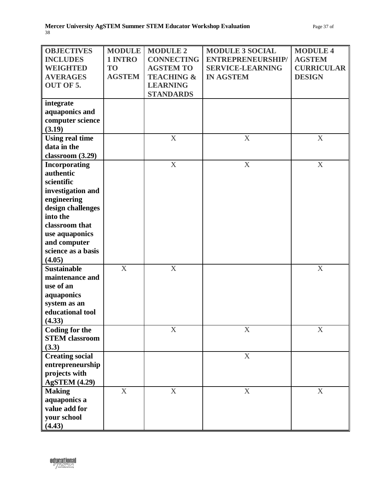| <b>OBJECTIVES</b>      | <b>MODULE</b> | <b>MODULE 2</b>       | <b>MODULE 3 SOCIAL</b>  | <b>MODULE 4</b>           |
|------------------------|---------------|-----------------------|-------------------------|---------------------------|
| <b>INCLUDES</b>        | 1 INTRO       | <b>CONNECTING</b>     | ENTREPRENEURSHIP/       | <b>AGSTEM</b>             |
| <b>WEIGHTED</b>        | <b>TO</b>     | <b>AGSTEM TO</b>      | <b>SERVICE-LEARNING</b> | <b>CURRICULAR</b>         |
| <b>AVERAGES</b>        | <b>AGSTEM</b> | <b>TEACHING &amp;</b> | <b>IN AGSTEM</b>        | <b>DESIGN</b>             |
| OUT OF 5.              |               | <b>LEARNING</b>       |                         |                           |
|                        |               | <b>STANDARDS</b>      |                         |                           |
| integrate              |               |                       |                         |                           |
| aquaponics and         |               |                       |                         |                           |
|                        |               |                       |                         |                           |
| computer science       |               |                       |                         |                           |
| (3.19)                 |               |                       |                         |                           |
| <b>Using real time</b> |               | $\mathbf X$           | X                       | $\boldsymbol{X}$          |
| data in the            |               |                       |                         |                           |
| classroom (3.29)       |               |                       |                         |                           |
| <b>Incorporating</b>   |               | $\mathbf X$           | $\boldsymbol{X}$        | $\boldsymbol{\mathrm{X}}$ |
| authentic              |               |                       |                         |                           |
| scientific             |               |                       |                         |                           |
| investigation and      |               |                       |                         |                           |
| engineering            |               |                       |                         |                           |
|                        |               |                       |                         |                           |
| design challenges      |               |                       |                         |                           |
| into the               |               |                       |                         |                           |
| classroom that         |               |                       |                         |                           |
| use aquaponics         |               |                       |                         |                           |
| and computer           |               |                       |                         |                           |
| science as a basis     |               |                       |                         |                           |
| (4.05)                 |               |                       |                         |                           |
| <b>Sustainable</b>     | X             | X                     |                         | X                         |
| maintenance and        |               |                       |                         |                           |
| use of an              |               |                       |                         |                           |
| aquaponics             |               |                       |                         |                           |
| system as an           |               |                       |                         |                           |
| educational tool       |               |                       |                         |                           |
|                        |               |                       |                         |                           |
| (4.33)                 |               |                       |                         |                           |
| <b>Coding for the</b>  |               | $\mathbf X$           | $\mathbf X$             | $\mathbf X$               |
| <b>STEM</b> classroom  |               |                       |                         |                           |
| (3.3)                  |               |                       |                         |                           |
| <b>Creating social</b> |               |                       | $\mathbf X$             |                           |
| entrepreneurship       |               |                       |                         |                           |
| projects with          |               |                       |                         |                           |
| <b>AgSTEM (4.29)</b>   |               |                       |                         |                           |
| <b>Making</b>          | $\mathbf X$   | $\mathbf X$           | $\mathbf X$             | $\mathbf X$               |
| aquaponics a           |               |                       |                         |                           |
| value add for          |               |                       |                         |                           |
|                        |               |                       |                         |                           |
| your school            |               |                       |                         |                           |
| (4.43)                 |               |                       |                         |                           |